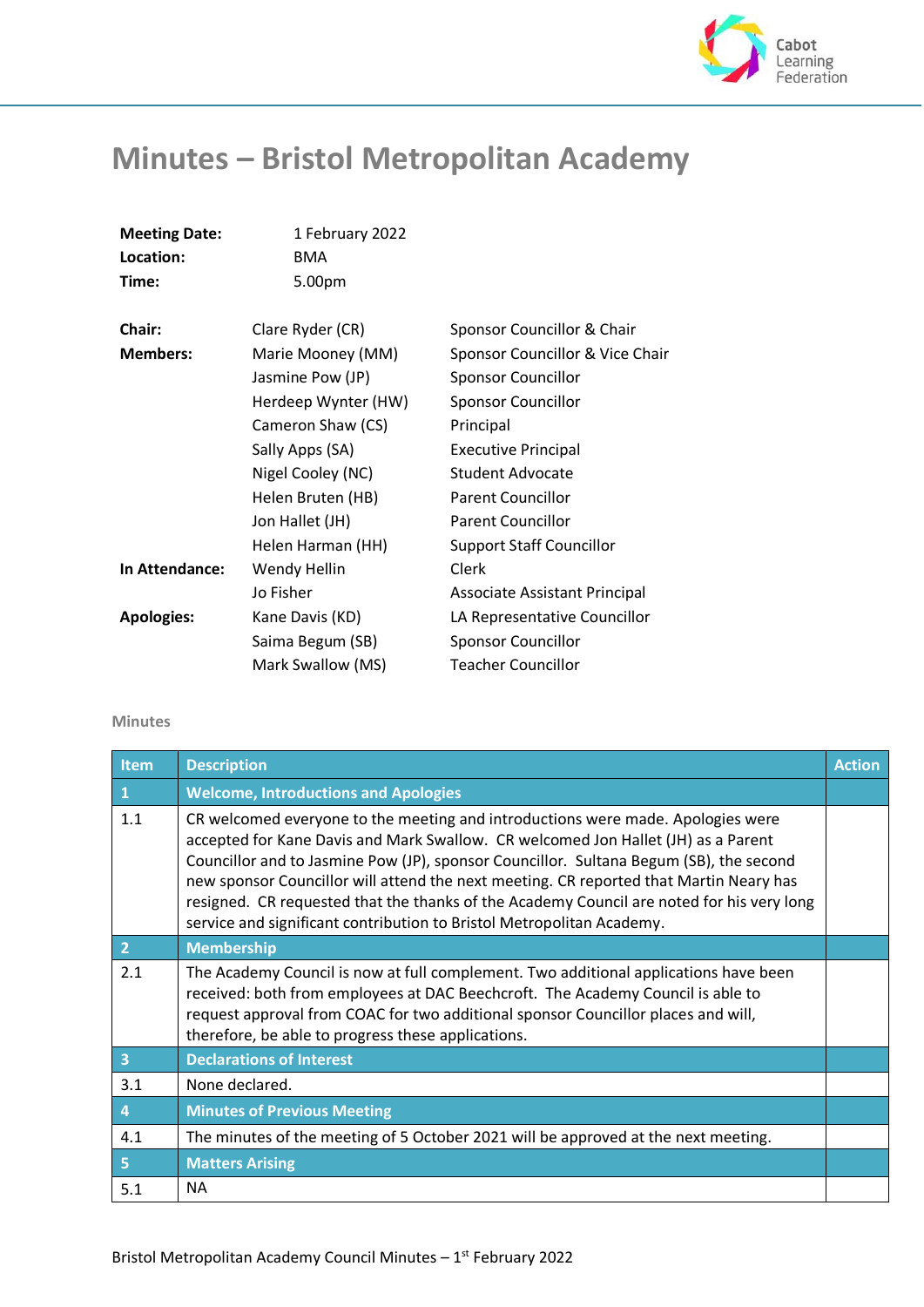

## **Minutes – Bristol Metropolitan Academy**

**Meeting Date:** 1 February 2022

| Location:         | <b>BMA</b>          |                                 |
|-------------------|---------------------|---------------------------------|
| Time:             | 5.00pm              |                                 |
| Chair:            | Clare Ryder (CR)    | Sponsor Councillor & Chair      |
| <b>Members:</b>   | Marie Mooney (MM)   | Sponsor Councillor & Vice Chair |
|                   | Jasmine Pow (JP)    | <b>Sponsor Councillor</b>       |
|                   | Herdeep Wynter (HW) | <b>Sponsor Councillor</b>       |
|                   | Cameron Shaw (CS)   | Principal                       |
|                   | Sally Apps (SA)     | <b>Executive Principal</b>      |
|                   | Nigel Cooley (NC)   | Student Advocate                |
|                   | Helen Bruten (HB)   | <b>Parent Councillor</b>        |
|                   | Jon Hallet (JH)     | <b>Parent Councillor</b>        |
|                   | Helen Harman (HH)   | <b>Support Staff Councillor</b> |
| In Attendance:    | Wendy Hellin        | Clerk                           |
|                   | Jo Fisher           | Associate Assistant Principal   |
| <b>Apologies:</b> | Kane Davis (KD)     | LA Representative Councillor    |
|                   | Saima Begum (SB)    | <b>Sponsor Councillor</b>       |
|                   | Mark Swallow (MS)   | <b>Teacher Councillor</b>       |

## **Minutes**

| Item           | <b>Description</b>                                                                                                                                                                                                                                                                                                                                                                                                                                                                                                             | <b>Action</b> |
|----------------|--------------------------------------------------------------------------------------------------------------------------------------------------------------------------------------------------------------------------------------------------------------------------------------------------------------------------------------------------------------------------------------------------------------------------------------------------------------------------------------------------------------------------------|---------------|
| 1              | <b>Welcome, Introductions and Apologies</b>                                                                                                                                                                                                                                                                                                                                                                                                                                                                                    |               |
| 1.1            | CR welcomed everyone to the meeting and introductions were made. Apologies were<br>accepted for Kane Davis and Mark Swallow. CR welcomed Jon Hallet (JH) as a Parent<br>Councillor and to Jasmine Pow (JP), sponsor Councillor. Sultana Begum (SB), the second<br>new sponsor Councillor will attend the next meeting. CR reported that Martin Neary has<br>resigned. CR requested that the thanks of the Academy Council are noted for his very long<br>service and significant contribution to Bristol Metropolitan Academy. |               |
| $\overline{2}$ | <b>Membership</b>                                                                                                                                                                                                                                                                                                                                                                                                                                                                                                              |               |
| 2.1            | The Academy Council is now at full complement. Two additional applications have been<br>received: both from employees at DAC Beechcroft. The Academy Council is able to<br>request approval from COAC for two additional sponsor Councillor places and will,<br>therefore, be able to progress these applications.                                                                                                                                                                                                             |               |
| 3              | <b>Declarations of Interest</b>                                                                                                                                                                                                                                                                                                                                                                                                                                                                                                |               |
| 3.1            | None declared.                                                                                                                                                                                                                                                                                                                                                                                                                                                                                                                 |               |
| $\overline{4}$ | <b>Minutes of Previous Meeting</b>                                                                                                                                                                                                                                                                                                                                                                                                                                                                                             |               |
| 4.1            | The minutes of the meeting of 5 October 2021 will be approved at the next meeting.                                                                                                                                                                                                                                                                                                                                                                                                                                             |               |
| 5              | <b>Matters Arising</b>                                                                                                                                                                                                                                                                                                                                                                                                                                                                                                         |               |
| 5.1            | <b>NA</b>                                                                                                                                                                                                                                                                                                                                                                                                                                                                                                                      |               |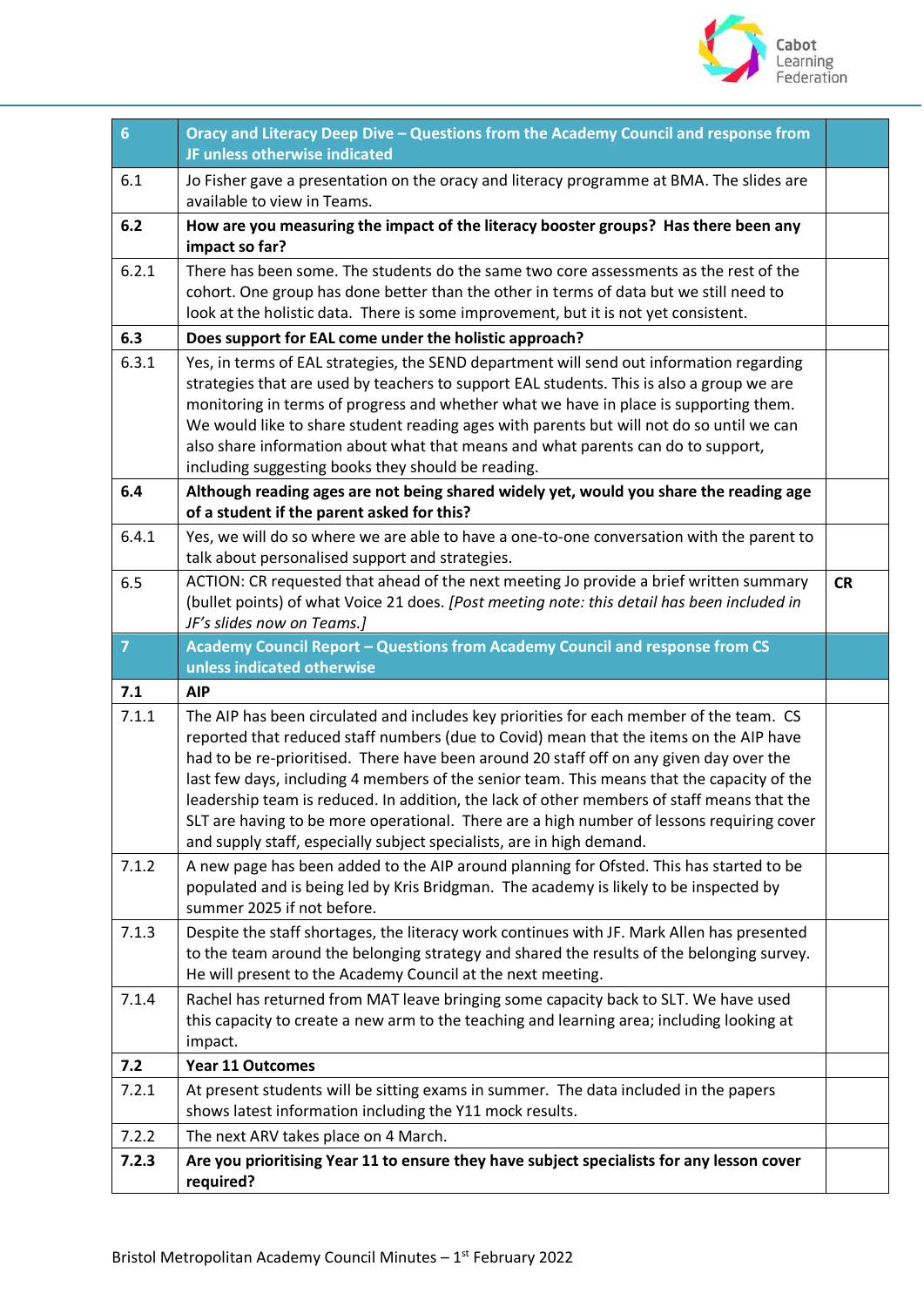

| $6\phantom{a}$ | Oracy and Literacy Deep Dive - Questions from the Academy Council and response from<br>JF unless otherwise indicated                                                                                                                                                                                                                                                                                                                                                                                                                                                                                                                           |           |
|----------------|------------------------------------------------------------------------------------------------------------------------------------------------------------------------------------------------------------------------------------------------------------------------------------------------------------------------------------------------------------------------------------------------------------------------------------------------------------------------------------------------------------------------------------------------------------------------------------------------------------------------------------------------|-----------|
| 6.1            | Jo Fisher gave a presentation on the oracy and literacy programme at BMA. The slides are<br>available to view in Teams.                                                                                                                                                                                                                                                                                                                                                                                                                                                                                                                        |           |
| 6.2            | How are you measuring the impact of the literacy booster groups? Has there been any<br>impact so far?                                                                                                                                                                                                                                                                                                                                                                                                                                                                                                                                          |           |
| 6.2.1          | There has been some. The students do the same two core assessments as the rest of the<br>cohort. One group has done better than the other in terms of data but we still need to<br>look at the holistic data. There is some improvement, but it is not yet consistent.                                                                                                                                                                                                                                                                                                                                                                         |           |
| 6.3            | Does support for EAL come under the holistic approach?                                                                                                                                                                                                                                                                                                                                                                                                                                                                                                                                                                                         |           |
| 6.3.1          | Yes, in terms of EAL strategies, the SEND department will send out information regarding<br>strategies that are used by teachers to support EAL students. This is also a group we are<br>monitoring in terms of progress and whether what we have in place is supporting them.<br>We would like to share student reading ages with parents but will not do so until we can<br>also share information about what that means and what parents can do to support,<br>including suggesting books they should be reading.                                                                                                                           |           |
| 6.4            | Although reading ages are not being shared widely yet, would you share the reading age<br>of a student if the parent asked for this?                                                                                                                                                                                                                                                                                                                                                                                                                                                                                                           |           |
| 6.4.1          | Yes, we will do so where we are able to have a one-to-one conversation with the parent to<br>talk about personalised support and strategies.                                                                                                                                                                                                                                                                                                                                                                                                                                                                                                   |           |
| 6.5            | ACTION: CR requested that ahead of the next meeting Jo provide a brief written summary<br>(bullet points) of what Voice 21 does. [Post meeting note: this detail has been included in<br>JF's slides now on Teams.]                                                                                                                                                                                                                                                                                                                                                                                                                            | <b>CR</b> |
| $\overline{7}$ | Academy Council Report - Questions from Academy Council and response from CS<br>unless indicated otherwise                                                                                                                                                                                                                                                                                                                                                                                                                                                                                                                                     |           |
| 7.1            | <b>AIP</b>                                                                                                                                                                                                                                                                                                                                                                                                                                                                                                                                                                                                                                     |           |
| 7.1.1          | The AIP has been circulated and includes key priorities for each member of the team. CS<br>reported that reduced staff numbers (due to Covid) mean that the items on the AIP have<br>had to be re-prioritised. There have been around 20 staff off on any given day over the<br>last few days, including 4 members of the senior team. This means that the capacity of the<br>leadership team is reduced. In addition, the lack of other members of staff means that the<br>SLT are having to be more operational. There are a high number of lessons requiring cover<br>and supply staff, especially subject specialists, are in high demand. |           |
| 7.1.2          | A new page has been added to the AIP around planning for Ofsted. This has started to be<br>populated and is being led by Kris Bridgman. The academy is likely to be inspected by<br>summer 2025 if not before.                                                                                                                                                                                                                                                                                                                                                                                                                                 |           |
| 7.1.3          | Despite the staff shortages, the literacy work continues with JF. Mark Allen has presented<br>to the team around the belonging strategy and shared the results of the belonging survey.<br>He will present to the Academy Council at the next meeting.                                                                                                                                                                                                                                                                                                                                                                                         |           |
| 7.1.4          | Rachel has returned from MAT leave bringing some capacity back to SLT. We have used<br>this capacity to create a new arm to the teaching and learning area; including looking at<br>impact.                                                                                                                                                                                                                                                                                                                                                                                                                                                    |           |
| 7.2            | <b>Year 11 Outcomes</b>                                                                                                                                                                                                                                                                                                                                                                                                                                                                                                                                                                                                                        |           |
| 7.2.1          | At present students will be sitting exams in summer. The data included in the papers                                                                                                                                                                                                                                                                                                                                                                                                                                                                                                                                                           |           |
|                | shows latest information including the Y11 mock results.                                                                                                                                                                                                                                                                                                                                                                                                                                                                                                                                                                                       |           |
| 7.2.2          | The next ARV takes place on 4 March.                                                                                                                                                                                                                                                                                                                                                                                                                                                                                                                                                                                                           |           |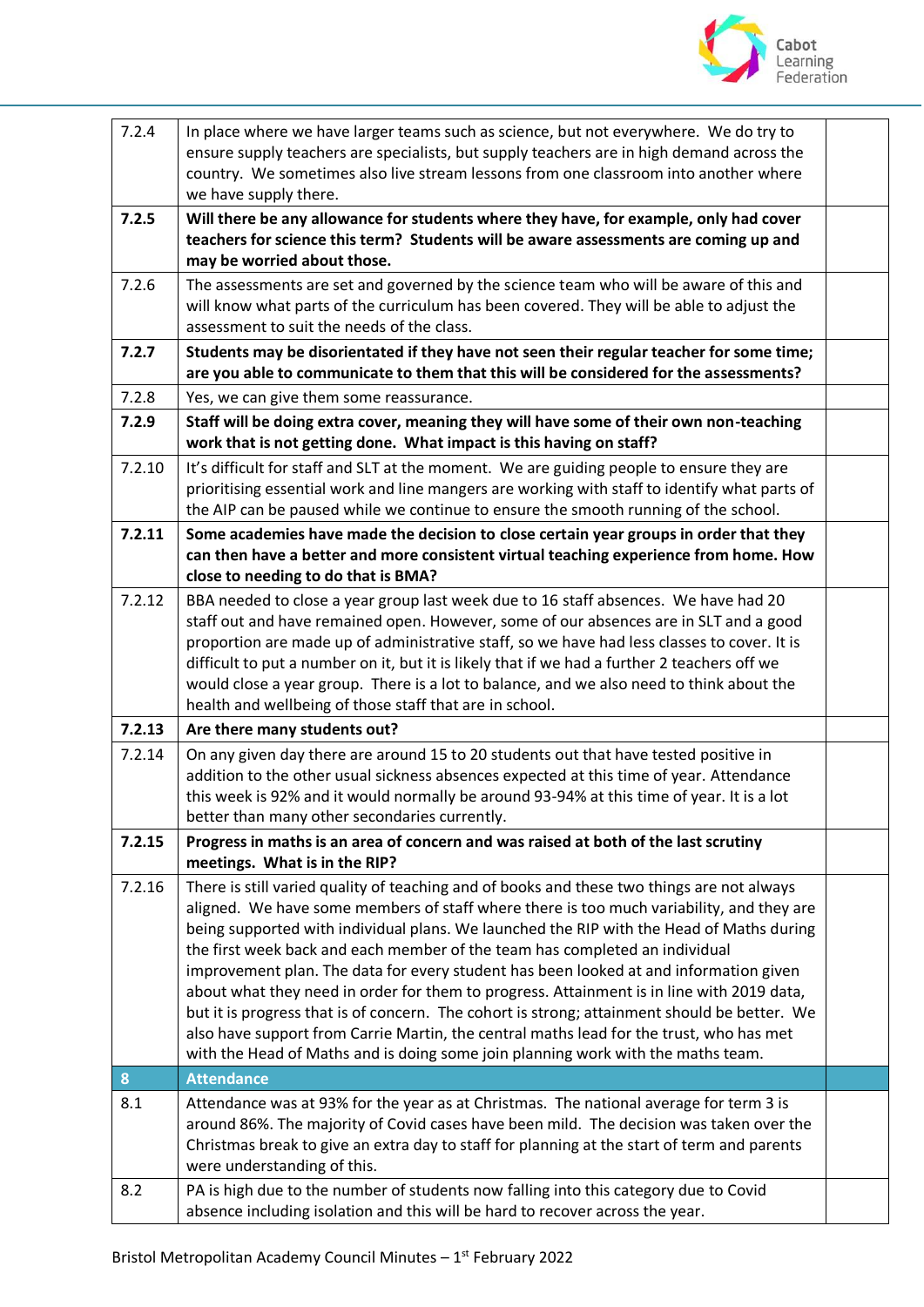

| 7.2.4  | In place where we have larger teams such as science, but not everywhere. We do try to<br>ensure supply teachers are specialists, but supply teachers are in high demand across the<br>country. We sometimes also live stream lessons from one classroom into another where<br>we have supply there.                                                                                                                                                                                                                                                                                                                                                                                                                                                                                                                                    |  |
|--------|----------------------------------------------------------------------------------------------------------------------------------------------------------------------------------------------------------------------------------------------------------------------------------------------------------------------------------------------------------------------------------------------------------------------------------------------------------------------------------------------------------------------------------------------------------------------------------------------------------------------------------------------------------------------------------------------------------------------------------------------------------------------------------------------------------------------------------------|--|
| 7.2.5  | Will there be any allowance for students where they have, for example, only had cover<br>teachers for science this term? Students will be aware assessments are coming up and<br>may be worried about those.                                                                                                                                                                                                                                                                                                                                                                                                                                                                                                                                                                                                                           |  |
| 7.2.6  | The assessments are set and governed by the science team who will be aware of this and<br>will know what parts of the curriculum has been covered. They will be able to adjust the<br>assessment to suit the needs of the class.                                                                                                                                                                                                                                                                                                                                                                                                                                                                                                                                                                                                       |  |
| 7.2.7  | Students may be disorientated if they have not seen their regular teacher for some time;<br>are you able to communicate to them that this will be considered for the assessments?                                                                                                                                                                                                                                                                                                                                                                                                                                                                                                                                                                                                                                                      |  |
| 7.2.8  | Yes, we can give them some reassurance.                                                                                                                                                                                                                                                                                                                                                                                                                                                                                                                                                                                                                                                                                                                                                                                                |  |
| 7.2.9  | Staff will be doing extra cover, meaning they will have some of their own non-teaching<br>work that is not getting done. What impact is this having on staff?                                                                                                                                                                                                                                                                                                                                                                                                                                                                                                                                                                                                                                                                          |  |
| 7.2.10 | It's difficult for staff and SLT at the moment. We are guiding people to ensure they are<br>prioritising essential work and line mangers are working with staff to identify what parts of<br>the AIP can be paused while we continue to ensure the smooth running of the school.                                                                                                                                                                                                                                                                                                                                                                                                                                                                                                                                                       |  |
| 7.2.11 | Some academies have made the decision to close certain year groups in order that they<br>can then have a better and more consistent virtual teaching experience from home. How<br>close to needing to do that is BMA?                                                                                                                                                                                                                                                                                                                                                                                                                                                                                                                                                                                                                  |  |
| 7.2.12 | BBA needed to close a year group last week due to 16 staff absences. We have had 20<br>staff out and have remained open. However, some of our absences are in SLT and a good<br>proportion are made up of administrative staff, so we have had less classes to cover. It is<br>difficult to put a number on it, but it is likely that if we had a further 2 teachers off we<br>would close a year group. There is a lot to balance, and we also need to think about the<br>health and wellbeing of those staff that are in school.                                                                                                                                                                                                                                                                                                     |  |
| 7.2.13 | Are there many students out?                                                                                                                                                                                                                                                                                                                                                                                                                                                                                                                                                                                                                                                                                                                                                                                                           |  |
| 7.2.14 | On any given day there are around 15 to 20 students out that have tested positive in<br>addition to the other usual sickness absences expected at this time of year. Attendance<br>this week is 92% and it would normally be around 93-94% at this time of year. It is a lot<br>better than many other secondaries currently.                                                                                                                                                                                                                                                                                                                                                                                                                                                                                                          |  |
| 7.2.15 | Progress in maths is an area of concern and was raised at both of the last scrutiny<br>meetings. What is in the RIP?                                                                                                                                                                                                                                                                                                                                                                                                                                                                                                                                                                                                                                                                                                                   |  |
| 7.2.16 | There is still varied quality of teaching and of books and these two things are not always<br>aligned. We have some members of staff where there is too much variability, and they are<br>being supported with individual plans. We launched the RIP with the Head of Maths during<br>the first week back and each member of the team has completed an individual<br>improvement plan. The data for every student has been looked at and information given<br>about what they need in order for them to progress. Attainment is in line with 2019 data,<br>but it is progress that is of concern. The cohort is strong; attainment should be better. We<br>also have support from Carrie Martin, the central maths lead for the trust, who has met<br>with the Head of Maths and is doing some join planning work with the maths team. |  |
| 8      | <b>Attendance</b>                                                                                                                                                                                                                                                                                                                                                                                                                                                                                                                                                                                                                                                                                                                                                                                                                      |  |
| 8.1    | Attendance was at 93% for the year as at Christmas. The national average for term 3 is<br>around 86%. The majority of Covid cases have been mild. The decision was taken over the<br>Christmas break to give an extra day to staff for planning at the start of term and parents<br>were understanding of this.                                                                                                                                                                                                                                                                                                                                                                                                                                                                                                                        |  |
| 8.2    | PA is high due to the number of students now falling into this category due to Covid<br>absence including isolation and this will be hard to recover across the year.                                                                                                                                                                                                                                                                                                                                                                                                                                                                                                                                                                                                                                                                  |  |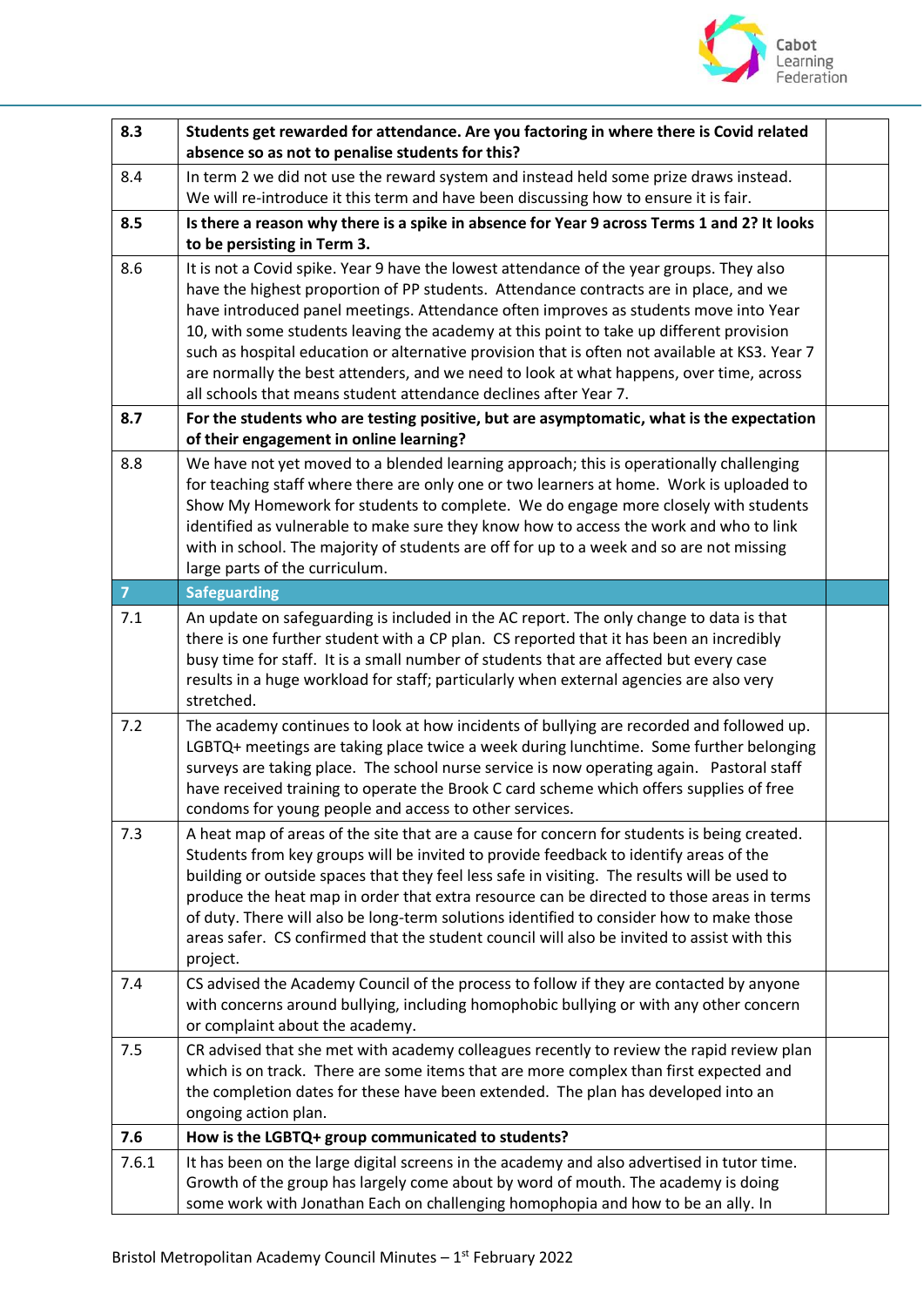

| 8.3            | Students get rewarded for attendance. Are you factoring in where there is Covid related<br>absence so as not to penalise students for this?                                                                                                                                                                                                                                                                                                                                                                                                                                                                                           |  |
|----------------|---------------------------------------------------------------------------------------------------------------------------------------------------------------------------------------------------------------------------------------------------------------------------------------------------------------------------------------------------------------------------------------------------------------------------------------------------------------------------------------------------------------------------------------------------------------------------------------------------------------------------------------|--|
| 8.4            | In term 2 we did not use the reward system and instead held some prize draws instead.<br>We will re-introduce it this term and have been discussing how to ensure it is fair.                                                                                                                                                                                                                                                                                                                                                                                                                                                         |  |
| 8.5            | Is there a reason why there is a spike in absence for Year 9 across Terms 1 and 2? It looks<br>to be persisting in Term 3.                                                                                                                                                                                                                                                                                                                                                                                                                                                                                                            |  |
| 8.6            | It is not a Covid spike. Year 9 have the lowest attendance of the year groups. They also<br>have the highest proportion of PP students. Attendance contracts are in place, and we<br>have introduced panel meetings. Attendance often improves as students move into Year<br>10, with some students leaving the academy at this point to take up different provision<br>such as hospital education or alternative provision that is often not available at KS3. Year 7<br>are normally the best attenders, and we need to look at what happens, over time, across<br>all schools that means student attendance declines after Year 7. |  |
| 8.7            | For the students who are testing positive, but are asymptomatic, what is the expectation<br>of their engagement in online learning?                                                                                                                                                                                                                                                                                                                                                                                                                                                                                                   |  |
| 8.8            | We have not yet moved to a blended learning approach; this is operationally challenging<br>for teaching staff where there are only one or two learners at home. Work is uploaded to<br>Show My Homework for students to complete. We do engage more closely with students<br>identified as vulnerable to make sure they know how to access the work and who to link<br>with in school. The majority of students are off for up to a week and so are not missing<br>large parts of the curriculum.                                                                                                                                     |  |
| $\overline{7}$ | <b>Safeguarding</b>                                                                                                                                                                                                                                                                                                                                                                                                                                                                                                                                                                                                                   |  |
| 7.1            | An update on safeguarding is included in the AC report. The only change to data is that<br>there is one further student with a CP plan. CS reported that it has been an incredibly<br>busy time for staff. It is a small number of students that are affected but every case<br>results in a huge workload for staff; particularly when external agencies are also very<br>stretched.                                                                                                                                                                                                                                                 |  |
| 7.2            | The academy continues to look at how incidents of bullying are recorded and followed up.<br>LGBTQ+ meetings are taking place twice a week during lunchtime. Some further belonging<br>surveys are taking place. The school nurse service is now operating again. Pastoral staff<br>have received training to operate the Brook C card scheme which offers supplies of free<br>condoms for young people and access to other services.                                                                                                                                                                                                  |  |
| 7.3            | A heat map of areas of the site that are a cause for concern for students is being created.<br>Students from key groups will be invited to provide feedback to identify areas of the<br>building or outside spaces that they feel less safe in visiting. The results will be used to<br>produce the heat map in order that extra resource can be directed to those areas in terms<br>of duty. There will also be long-term solutions identified to consider how to make those<br>areas safer. CS confirmed that the student council will also be invited to assist with this<br>project.                                              |  |
| 7.4            | CS advised the Academy Council of the process to follow if they are contacted by anyone<br>with concerns around bullying, including homophobic bullying or with any other concern<br>or complaint about the academy.                                                                                                                                                                                                                                                                                                                                                                                                                  |  |
| 7.5            | CR advised that she met with academy colleagues recently to review the rapid review plan<br>which is on track. There are some items that are more complex than first expected and<br>the completion dates for these have been extended. The plan has developed into an<br>ongoing action plan.                                                                                                                                                                                                                                                                                                                                        |  |
| 7.6            | How is the LGBTQ+ group communicated to students?                                                                                                                                                                                                                                                                                                                                                                                                                                                                                                                                                                                     |  |
| 7.6.1          | It has been on the large digital screens in the academy and also advertised in tutor time.<br>Growth of the group has largely come about by word of mouth. The academy is doing<br>some work with Jonathan Each on challenging homophopia and how to be an ally. In                                                                                                                                                                                                                                                                                                                                                                   |  |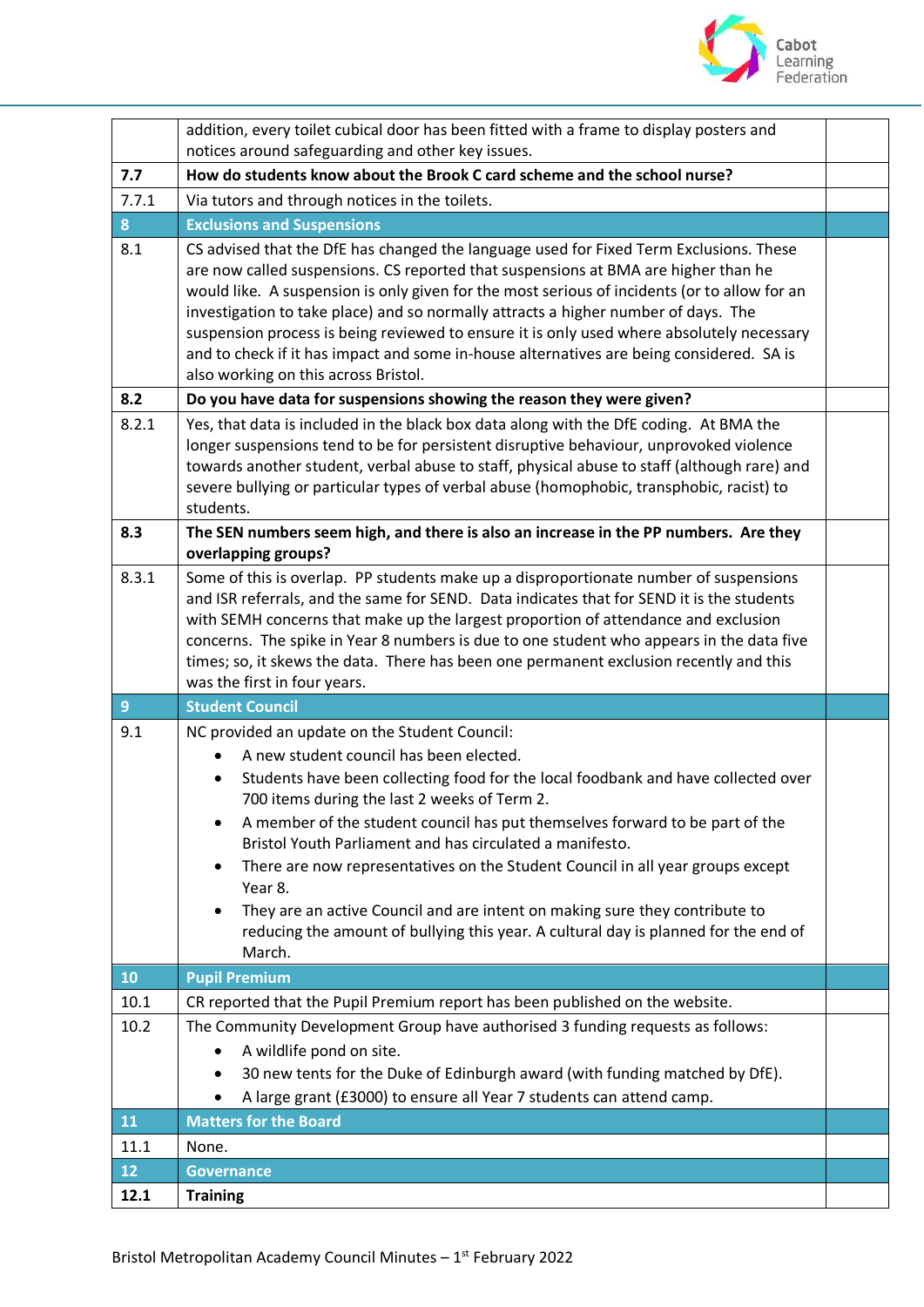

|                | addition, every toilet cubical door has been fitted with a frame to display posters and                                                                                                                                                                                                                                                                                                                                                                                                                                                                                                                                                                             |  |
|----------------|---------------------------------------------------------------------------------------------------------------------------------------------------------------------------------------------------------------------------------------------------------------------------------------------------------------------------------------------------------------------------------------------------------------------------------------------------------------------------------------------------------------------------------------------------------------------------------------------------------------------------------------------------------------------|--|
| 7.7            | notices around safeguarding and other key issues.<br>How do students know about the Brook C card scheme and the school nurse?                                                                                                                                                                                                                                                                                                                                                                                                                                                                                                                                       |  |
| 7.7.1          | Via tutors and through notices in the toilets.                                                                                                                                                                                                                                                                                                                                                                                                                                                                                                                                                                                                                      |  |
| 8              | <b>Exclusions and Suspensions</b>                                                                                                                                                                                                                                                                                                                                                                                                                                                                                                                                                                                                                                   |  |
| 8.1            | CS advised that the DfE has changed the language used for Fixed Term Exclusions. These                                                                                                                                                                                                                                                                                                                                                                                                                                                                                                                                                                              |  |
|                | are now called suspensions. CS reported that suspensions at BMA are higher than he<br>would like. A suspension is only given for the most serious of incidents (or to allow for an<br>investigation to take place) and so normally attracts a higher number of days. The<br>suspension process is being reviewed to ensure it is only used where absolutely necessary<br>and to check if it has impact and some in-house alternatives are being considered. SA is<br>also working on this across Bristol.                                                                                                                                                           |  |
| 8.2            | Do you have data for suspensions showing the reason they were given?                                                                                                                                                                                                                                                                                                                                                                                                                                                                                                                                                                                                |  |
| 8.2.1          | Yes, that data is included in the black box data along with the DfE coding. At BMA the<br>longer suspensions tend to be for persistent disruptive behaviour, unprovoked violence<br>towards another student, verbal abuse to staff, physical abuse to staff (although rare) and<br>severe bullying or particular types of verbal abuse (homophobic, transphobic, racist) to<br>students.                                                                                                                                                                                                                                                                            |  |
| 8.3            | The SEN numbers seem high, and there is also an increase in the PP numbers. Are they<br>overlapping groups?                                                                                                                                                                                                                                                                                                                                                                                                                                                                                                                                                         |  |
| 8.3.1          | Some of this is overlap. PP students make up a disproportionate number of suspensions<br>and ISR referrals, and the same for SEND. Data indicates that for SEND it is the students<br>with SEMH concerns that make up the largest proportion of attendance and exclusion<br>concerns. The spike in Year 8 numbers is due to one student who appears in the data five<br>times; so, it skews the data. There has been one permanent exclusion recently and this<br>was the first in four years.                                                                                                                                                                      |  |
| $\overline{9}$ | <b>Student Council</b>                                                                                                                                                                                                                                                                                                                                                                                                                                                                                                                                                                                                                                              |  |
| 9.1            | NC provided an update on the Student Council:<br>A new student council has been elected.<br>Students have been collecting food for the local foodbank and have collected over<br>700 items during the last 2 weeks of Term 2.<br>A member of the student council has put themselves forward to be part of the<br>Bristol Youth Parliament and has circulated a manifesto.<br>There are now representatives on the Student Council in all year groups except<br>$\bullet$<br>Year 8.<br>They are an active Council and are intent on making sure they contribute to<br>reducing the amount of bullying this year. A cultural day is planned for the end of<br>March. |  |
| 10             | <b>Pupil Premium</b>                                                                                                                                                                                                                                                                                                                                                                                                                                                                                                                                                                                                                                                |  |
| 10.1           | CR reported that the Pupil Premium report has been published on the website.                                                                                                                                                                                                                                                                                                                                                                                                                                                                                                                                                                                        |  |
| 10.2           | The Community Development Group have authorised 3 funding requests as follows:<br>A wildlife pond on site.<br>$\bullet$<br>30 new tents for the Duke of Edinburgh award (with funding matched by DfE).<br>$\bullet$<br>A large grant (£3000) to ensure all Year 7 students can attend camp.                                                                                                                                                                                                                                                                                                                                                                         |  |
| 11             |                                                                                                                                                                                                                                                                                                                                                                                                                                                                                                                                                                                                                                                                     |  |
|                | <b>Matters for the Board</b>                                                                                                                                                                                                                                                                                                                                                                                                                                                                                                                                                                                                                                        |  |
| 11.1           | None.                                                                                                                                                                                                                                                                                                                                                                                                                                                                                                                                                                                                                                                               |  |
| 12<br>12.1     | <b>Governance</b><br><b>Training</b>                                                                                                                                                                                                                                                                                                                                                                                                                                                                                                                                                                                                                                |  |